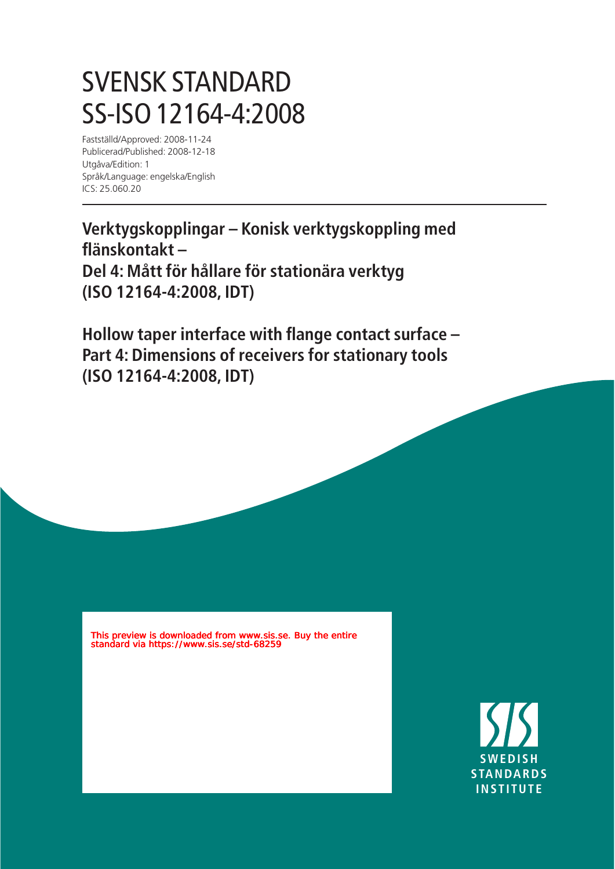## SVENSK STANDARD SS-ISO 12164-4:2008

Fastställd/Approved: 2008-11-24 Publicerad/Published: 2008-12-18 Utgåva/Edition: 1 Språk/Language: engelska/English ICS: 25.060.20

**Verktygskopplingar – Konisk verktygskoppling med flänskontakt – Del 4: Mått för hållare för stationära verktyg (ISO 12164-4:2008, IDT)**

**Hollow taper interface with flange contact surface – Part 4: Dimensions of receivers for stationary tools (ISO 12164-4:2008, IDT)**

This preview is downloaded from www.sis.se. Buy the entire standard via https://www.sis.se/std-68259

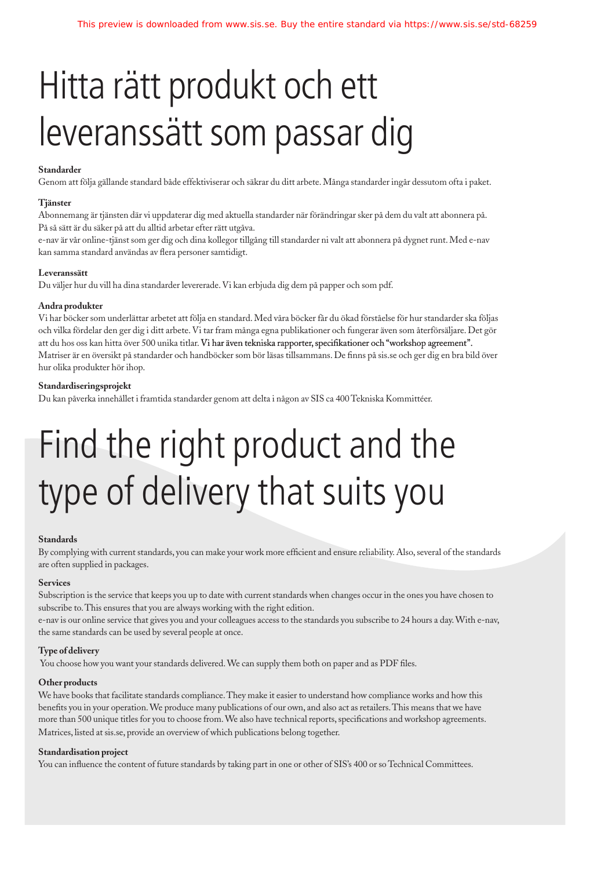## Hitta rätt produkt och ett leveranssätt som passar dig

## **Standarder**

Genom att följa gällande standard både effektiviserar och säkrar du ditt arbete. Många standarder ingår dessutom ofta i paket.

## **Tjänster**

Abonnemang är tjänsten där vi uppdaterar dig med aktuella standarder när förändringar sker på dem du valt att abonnera på. På så sätt är du säker på att du alltid arbetar efter rätt utgåva.

e-nav är vår online-tjänst som ger dig och dina kollegor tillgång till standarder ni valt att abonnera på dygnet runt. Med e-nav kan samma standard användas av flera personer samtidigt.

### **Leveranssätt**

Du väljer hur du vill ha dina standarder levererade. Vi kan erbjuda dig dem på papper och som pdf.

### **Andra produkter**

Vi har böcker som underlättar arbetet att följa en standard. Med våra böcker får du ökad förståelse för hur standarder ska följas och vilka fördelar den ger dig i ditt arbete. Vi tar fram många egna publikationer och fungerar även som återförsäljare. Det gör att du hos oss kan hitta över 500 unika titlar. Vi har även tekniska rapporter, specifikationer och "workshop agreement". Matriser är en översikt på standarder och handböcker som bör läsas tillsammans. De finns på sis.se och ger dig en bra bild över hur olika produkter hör ihop.

## **Standardiseringsprojekt**

Du kan påverka innehållet i framtida standarder genom att delta i någon av SIS ca 400 Tekniska Kommittéer.

# Find the right product and the type of delivery that suits you

### **Standards**

By complying with current standards, you can make your work more efficient and ensure reliability. Also, several of the standards are often supplied in packages.

### **Services**

Subscription is the service that keeps you up to date with current standards when changes occur in the ones you have chosen to subscribe to. This ensures that you are always working with the right edition.

e-nav is our online service that gives you and your colleagues access to the standards you subscribe to 24 hours a day. With e-nav, the same standards can be used by several people at once.

### **Type of delivery**

You choose how you want your standards delivered. We can supply them both on paper and as PDF files.

### **Other products**

We have books that facilitate standards compliance. They make it easier to understand how compliance works and how this benefits you in your operation. We produce many publications of our own, and also act as retailers. This means that we have more than 500 unique titles for you to choose from. We also have technical reports, specifications and workshop agreements. Matrices, listed at sis.se, provide an overview of which publications belong together.

### **Standardisation project**

You can influence the content of future standards by taking part in one or other of SIS's 400 or so Technical Committees.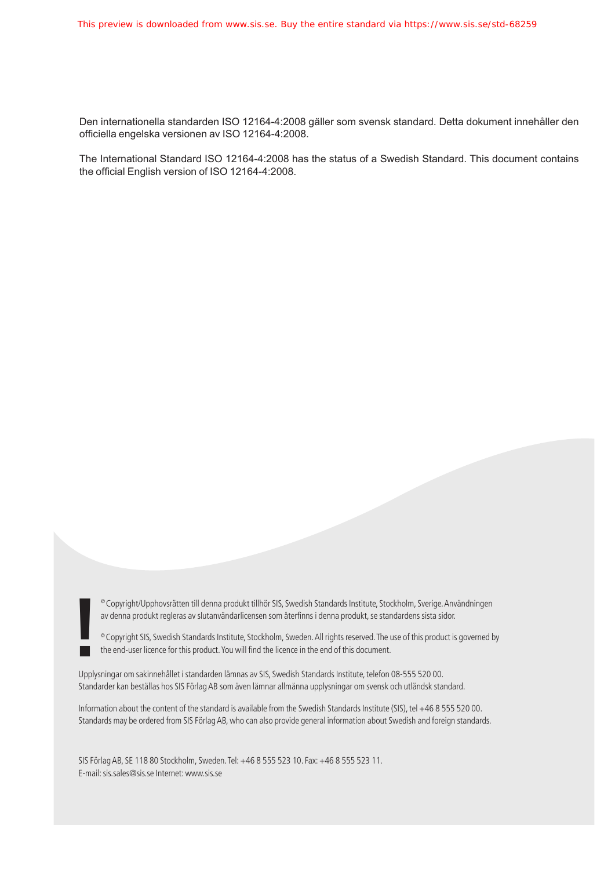Den internationella standarden ISO 12164-4:2008 gäller som svensk standard. Detta dokument innehåller den officiella engelska versionen av ISO 12164-4:2008.

The International Standard ISO 12164-4:2008 has the status of a Swedish Standard. This document contains the official English version of ISO 12164-4:2008.

av denna produkt regleras av slutanvändarlicensen som återfinns i denna produkt, se standardens sista sidor.

<sup>©</sup> Copyright/Upphovsrätten till denna produkt tillhör SIS, Swedish Standards Institute, Stockholm, Sverige. Användningen<br>av denna produkt regleras av slutanvändarlicensen som återfinns i denna produkt, se standardens sis

Upplysningar om sakinnehållet i standarden lämnas av SIS, Swedish Standards Institute, telefon 08-555 520 00. Standarder kan beställas hos SIS Förlag AB som även lämnar allmänna upplysningar om svensk och utländsk standard.

Information about the content of the standard is available from the Swedish Standards Institute (SIS), tel +46 8 555 520 00. Standards may be ordered from SIS Förlag AB, who can also provide general information about Swedish and foreign standards.

SIS Förlag AB, SE 118 80 Stockholm, Sweden. Tel: +46 8 555 523 10. Fax: +46 8 555 523 11. E-mail: sis.sales@sis.se Internet: www.sis.se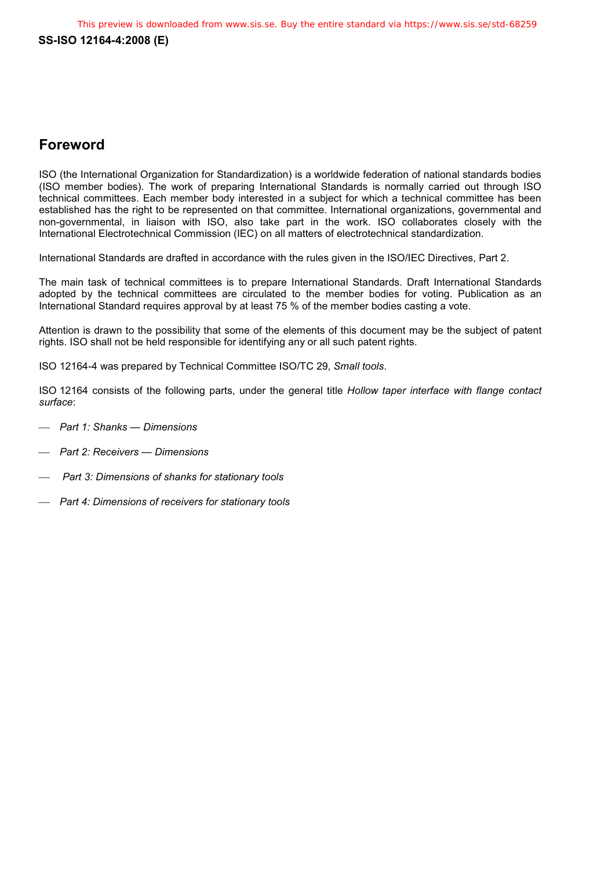## **Foreword**

ISO (the International Organization for Standardization) is a worldwide federation of national standards bodies (ISO member bodies). The work of preparing International Standards is normally carried out through ISO technical committees. Each member body interested in a subject for which a technical committee has been established has the right to be represented on that committee. International organizations, governmental and non-governmental, in liaison with ISO, also take part in the work. ISO collaborates closely with the International Electrotechnical Commission (IEC) on all matters of electrotechnical standardization.

International Standards are drafted in accordance with the rules given in the ISO/IEC Directives, Part 2.

The main task of technical committees is to prepare International Standards. Draft International Standards adopted by the technical committees are circulated to the member bodies for voting. Publication as an International Standard requires approval by at least 75 % of the member bodies casting a vote.

Attention is drawn to the possibility that some of the elements of this document may be the subject of patent rights. ISO shall not be held responsible for identifying any or all such patent rights.

ISO 12164-4 was prepared by Technical Committee ISO/TC 29, *Small tools*.

ISO 12164 consists of the following parts, under the general title *Hollow taper interface with flange contact surface*:

- *Part 1: Shanks Dimensions*
- *Part 2: Receivers Dimensions*
- *Part 3: Dimensions of shanks for stationary tools*
- *Part 4: Dimensions of receivers for stationary tools*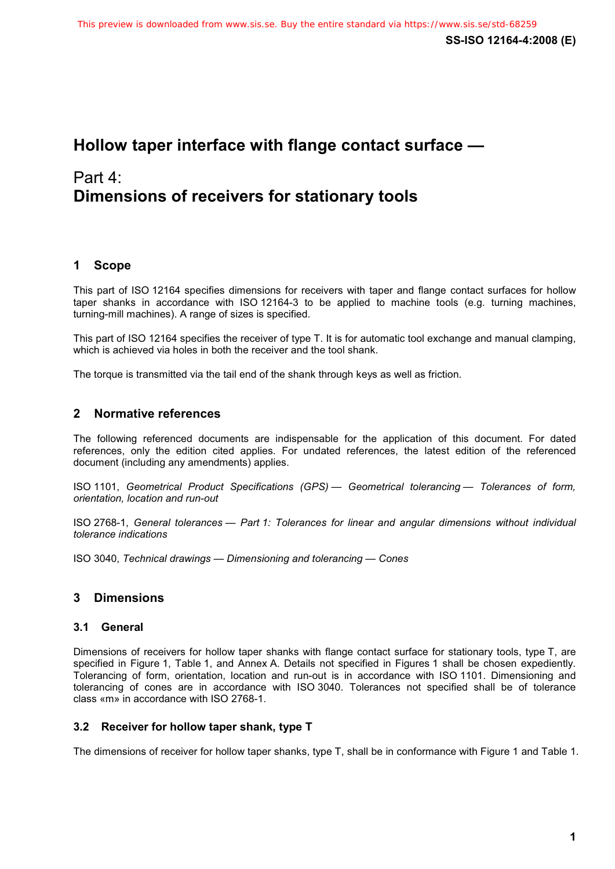## **Hollow taper interface with flange contact surface —**

## Part 4: **Dimensions of receivers for stationary tools**

## **1 Scope**

This part of ISO 12164 specifies dimensions for receivers with taper and flange contact surfaces for hollow taper shanks in accordance with ISO 12164-3 to be applied to machine tools (e.g. turning machines, turning-mill machines). A range of sizes is specified.

This part of ISO 12164 specifies the receiver of type T. It is for automatic tool exchange and manual clamping, which is achieved via holes in both the receiver and the tool shank.

The torque is transmitted via the tail end of the shank through keys as well as friction.

## **2 Normative references**

The following referenced documents are indispensable for the application of this document. For dated references, only the edition cited applies. For undated references, the latest edition of the referenced document (including any amendments) applies.

ISO 1101, *Geometrical Product Specifications (GPS) — Geometrical tolerancing — Tolerances of form, orientation, location and run-out*

ISO 2768-1, *General tolerances — Part 1: Tolerances for linear and angular dimensions without individual tolerance indications*

ISO 3040, *Technical drawings — Dimensioning and tolerancing — Cones*

## **3 Dimensions**

## **3.1 General**

Dimensions of receivers for hollow taper shanks with flange contact surface for stationary tools, type T, are specified in Figure 1, Table 1, and Annex A. Details not specified in Figures 1 shall be chosen expediently. Tolerancing of form, orientation, location and run-out is in accordance with ISO 1101. Dimensioning and tolerancing of cones are in accordance with ISO 3040. Tolerances not specified shall be of tolerance class «m» in accordance with ISO 2768-1.

## **3.2 Receiver for hollow taper shank, type T**

The dimensions of receiver for hollow taper shanks, type T, shall be in conformance with Figure 1 and Table 1.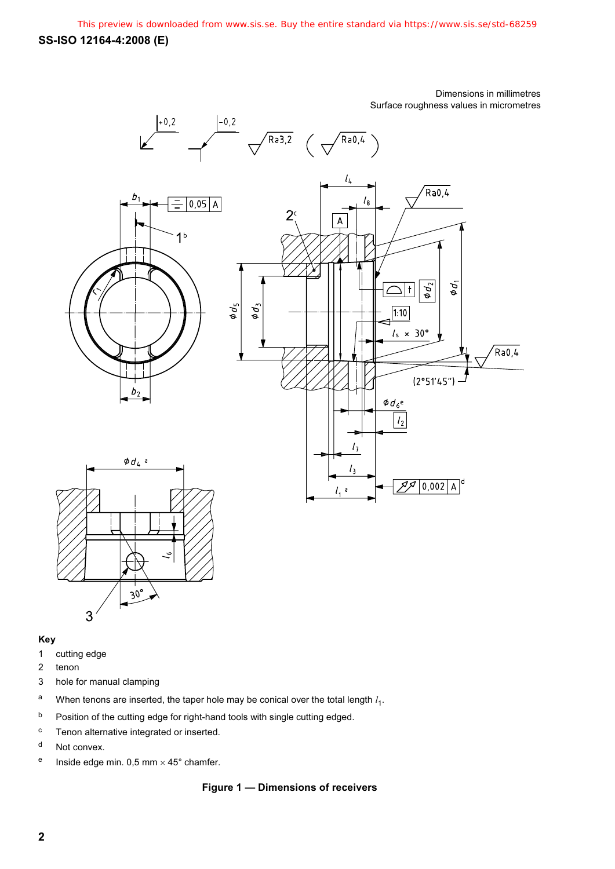## Dimensions in millimetres Surface roughness values in micrometres



## **Key**

- 1 cutting edge
- 2 tenon
- 3 hole for manual clamping
- <sup>a</sup> When tenons are inserted, the taper hole may be conical over the total length  $l_1$ .
- b Position of the cutting edge for right-hand tools with single cutting edged.
- c Tenon alternative integrated or inserted.
- d Not convex.
- <sup>e</sup> Inside edge min. 0,5 mm  $\times$  45° chamfer.

## **Figure 1 — Dimensions of receivers**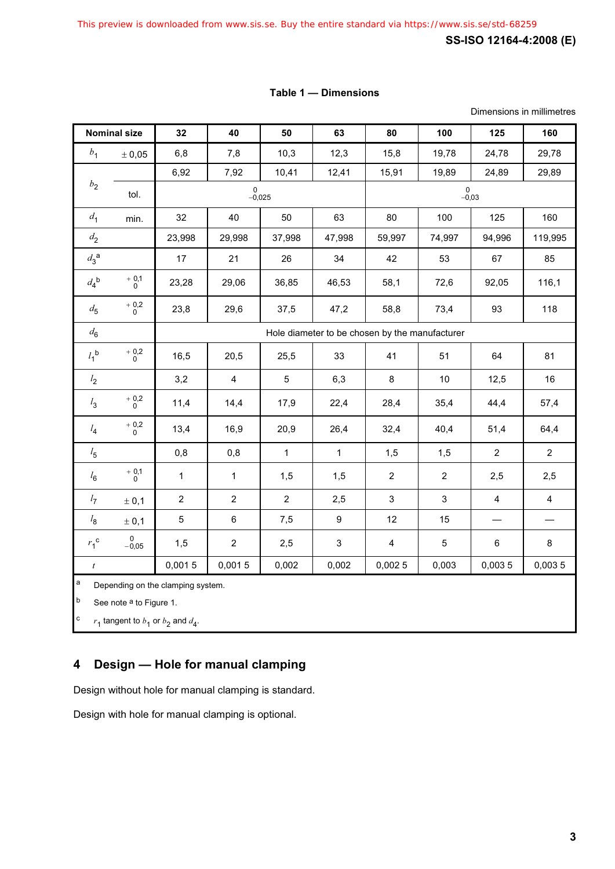## **Table 1 — Dimensions**

Dimensions in millimetres

| <b>Nominal size</b> |                        | 32                                             | 40             | 50             | 63           | 80             | 100            | 125            | 160            |
|---------------------|------------------------|------------------------------------------------|----------------|----------------|--------------|----------------|----------------|----------------|----------------|
| b <sub>1</sub>      | ± 0,05                 | 6,8                                            | 7,8            | 10,3           | 12,3         | 15,8           | 19,78          | 24,78          | 29,78          |
| $b_{2}$             |                        | 6,92                                           | 7,92           | 10,41          | 12,41        | 15,91          | 19,89          | 24,89          | 29,89          |
|                     | tol.                   | $\mathbf 0$<br>$-0,025$                        |                |                |              | 0<br>$-0,03$   |                |                |                |
| d <sub>1</sub>      | min.                   | 32                                             | 40             | 50             | 63           | 80             | 100            | 125            | 160            |
| $d_2$               |                        | 23,998                                         | 29,998         | 37,998         | 47,998       | 59,997         | 74,997         | 94,996         | 119,995        |
| $d_3^{\ a}$         |                        | 17                                             | 21             | 26             | 34           | 42             | 53             | 67             | 85             |
| $d_4^{\ b}$         | $^+\substack{0,1\\0}$  | 23,28                                          | 29,06          | 36,85          | 46,53        | 58,1           | 72,6           | 92,05          | 116,1          |
| $d_{\bf 5}$         | $^{+0,2}_{0}$          | 23,8                                           | 29,6           | 37,5           | 47,2         | 58,8           | 73,4           | 93             | 118            |
| $d_6$               |                        | Hole diameter to be chosen by the manufacturer |                |                |              |                |                |                |                |
| $l_1$ <sub>b</sub>  | $^+\substack{0,2\\0}$  | 16,5                                           | 20,5           | 25,5           | 33           | 41             | 51             | 64             | 81             |
| l <sub>2</sub>      |                        | 3,2                                            | $\overline{4}$ | $\overline{5}$ | 6,3          | 8              | $10$           | 12,5           | 16             |
| $l_3$               | $^{+0,2}_{0}$          | 11,4                                           | 14,4           | 17,9           | 22,4         | 28,4           | 35,4           | 44,4           | 57,4           |
| $l_4$               | $^+\substack{0,2\\0}$  | 13,4                                           | 16,9           | 20,9           | 26,4         | 32,4           | 40,4           | 51,4           | 64,4           |
| $l_{\bf 5}$         |                        | 0,8                                            | 0,8            | $\mathbf{1}$   | $\mathbf{1}$ | 1,5            | 1,5            | $\overline{c}$ | $\overline{c}$ |
| $l_6$               | $^+$ 0,1 $^{\rm 0}$    | 1                                              | $\mathbf{1}$   | 1,5            | 1,5          | $\overline{c}$ | $\overline{c}$ | 2,5            | 2,5            |
| $l_7$               | ± 0,1                  | $\overline{2}$                                 | $\overline{2}$ | $\overline{2}$ | 2,5          | $\mathfrak{S}$ | 3              | $\overline{4}$ | $\overline{4}$ |
| $l_{8}$             | ± 0,1                  | 5                                              | $\,6\,$        | 7,5            | 9            | 12             | 15             |                |                |
| $r_1^{\ c}$         | $\mathbf 0$<br>$-0,05$ | 1,5                                            | $\overline{c}$ | 2,5            | 3            | $\overline{4}$ | 5              | $\,6\,$        | 8              |
| $\boldsymbol{t}$    |                        | 0,0015                                         | 0,0015         | 0,002          | 0,002        | 0,0025         | 0,003          | 0,0035         | 0,0035         |

 $a$  Depending on the clamping system.

 $\vert$ <sup>b</sup> See note <sup>a</sup> to Figure 1.

 $\begin{bmatrix} c & r_1 \end{bmatrix}$  tangent to  $b_1$  or  $b_2$  and  $d_4$ .

## **4 Design — Hole for manual clamping**

Design without hole for manual clamping is standard.

Design with hole for manual clamping is optional.